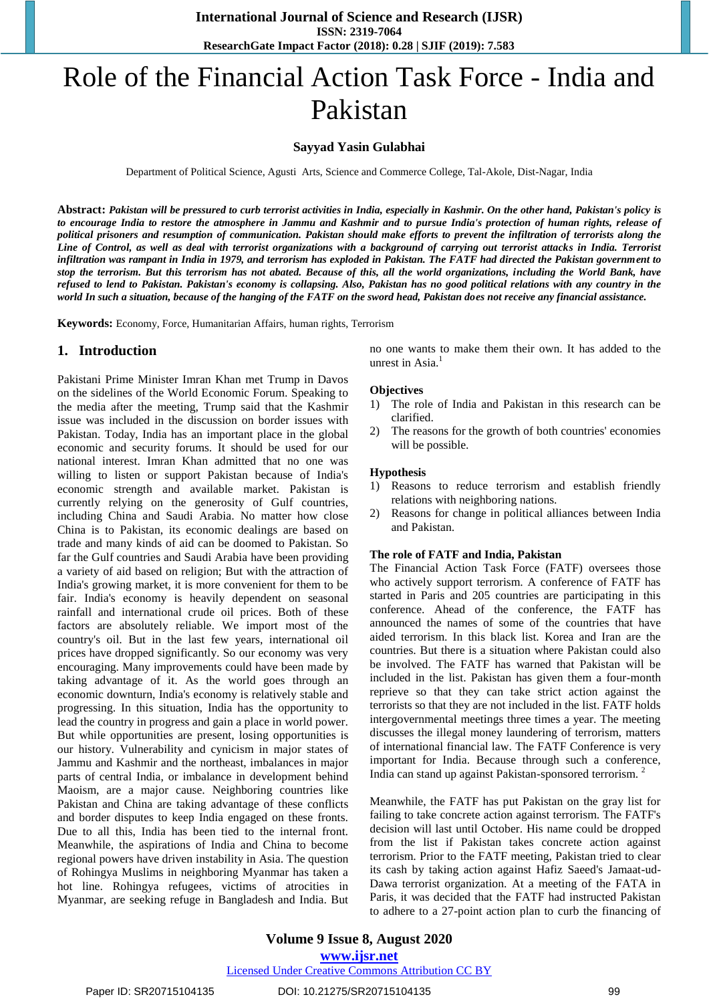**International Journal of Science and Research (IJSR) ISSN: 2319-7064 ResearchGate Impact Factor (2018): 0.28 | SJIF (2019): 7.583**

# Role of the Financial Action Task Force - India and Pakistan

## **Sayyad Yasin Gulabhai**

Department of Political Science, Agusti Arts, Science and Commerce College, Tal-Akole, Dist-Nagar, India

**Abstract:** *Pakistan will be pressured to curb terrorist activities in India, especially in Kashmir. On the other hand, Pakistan's policy is to encourage India to restore the atmosphere in Jammu and Kashmir and to pursue India's protection of human rights, release of political prisoners and resumption of communication. Pakistan should make efforts to prevent the infiltration of terrorists along the Line of Control, as well as deal with terrorist organizations with a background of carrying out terrorist attacks in India. Terrorist infiltration was rampant in India in 1979, and terrorism has exploded in Pakistan. The FATF had directed the Pakistan government to stop the terrorism. But this terrorism has not abated. Because of this, all the world organizations, including the World Bank, have refused to lend to Pakistan. Pakistan's economy is collapsing. Also, Pakistan has no good political relations with any country in the world In such a situation, because of the hanging of the FATF on the sword head, Pakistan does not receive any financial assistance.*

**Keywords:** Economy, Force, Humanitarian Affairs, human rights, Terrorism

## **1. Introduction**

Pakistani Prime Minister Imran Khan met Trump in Davos on the sidelines of the World Economic Forum. Speaking to the media after the meeting, Trump said that the Kashmir issue was included in the discussion on border issues with Pakistan. Today, India has an important place in the global economic and security forums. It should be used for our national interest. Imran Khan admitted that no one was willing to listen or support Pakistan because of India's economic strength and available market. Pakistan is currently relying on the generosity of Gulf countries, including China and Saudi Arabia. No matter how close China is to Pakistan, its economic dealings are based on trade and many kinds of aid can be doomed to Pakistan. So far the Gulf countries and Saudi Arabia have been providing a variety of aid based on religion; But with the attraction of India's growing market, it is more convenient for them to be fair. India's economy is heavily dependent on seasonal rainfall and international crude oil prices. Both of these factors are absolutely reliable. We import most of the country's oil. But in the last few years, international oil prices have dropped significantly. So our economy was very encouraging. Many improvements could have been made by taking advantage of it. As the world goes through an economic downturn, India's economy is relatively stable and progressing. In this situation, India has the opportunity to lead the country in progress and gain a place in world power. But while opportunities are present, losing opportunities is our history. Vulnerability and cynicism in major states of Jammu and Kashmir and the northeast, imbalances in major parts of central India, or imbalance in development behind Maoism, are a major cause. Neighboring countries like Pakistan and China are taking advantage of these conflicts and border disputes to keep India engaged on these fronts. Due to all this, India has been tied to the internal front. Meanwhile, the aspirations of India and China to become regional powers have driven instability in Asia. The question of Rohingya Muslims in neighboring Myanmar has taken a hot line. Rohingya refugees, victims of atrocities in Myanmar, are seeking refuge in Bangladesh and India. But no one wants to make them their own. It has added to the unrest in Asia.<sup>1</sup>

## **Objectives**

- 1) The role of India and Pakistan in this research can be clarified.
- 2) The reasons for the growth of both countries' economies will be possible.

#### **Hypothesis**

- 1) Reasons to reduce terrorism and establish friendly relations with neighboring nations.
- 2) Reasons for change in political alliances between India and Pakistan.

## **The role of FATF and India, Pakistan**

The Financial Action Task Force (FATF) oversees those who actively support terrorism. A conference of FATF has started in Paris and 205 countries are participating in this conference. Ahead of the conference, the FATF has announced the names of some of the countries that have aided terrorism. In this black list. Korea and Iran are the countries. But there is a situation where Pakistan could also be involved. The FATF has warned that Pakistan will be included in the list. Pakistan has given them a four-month reprieve so that they can take strict action against the terrorists so that they are not included in the list. FATF holds intergovernmental meetings three times a year. The meeting discusses the illegal money laundering of terrorism, matters of international financial law. The FATF Conference is very important for India. Because through such a conference, India can stand up against Pakistan-sponsored terrorism. <sup>2</sup>

Meanwhile, the FATF has put Pakistan on the gray list for failing to take concrete action against terrorism. The FATF's decision will last until October. His name could be dropped from the list if Pakistan takes concrete action against terrorism. Prior to the FATF meeting, Pakistan tried to clear its cash by taking action against Hafiz Saeed's Jamaat-ud-Dawa terrorist organization. At a meeting of the FATA in Paris, it was decided that the FATF had instructed Pakistan to adhere to a 27-point action plan to curb the financing of